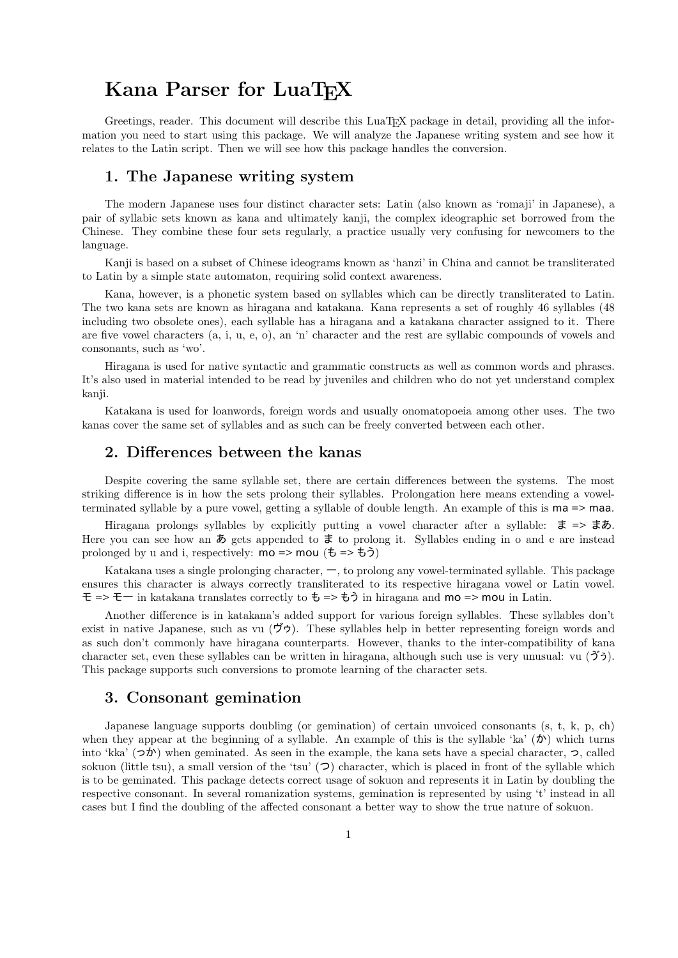# Kana Parser for LuaT<sub>F</sub>X

Greetings, reader. This document will describe this LuaT<sub>EX</sub> package in detail, providing all the information you need to start using this package. We will analyze the Japanese writing system and see how it relates to the Latin script. Then we will see how this package handles the conversion.

## 1. The Japanese writing system

The modern Japanese uses four distinct character sets: Latin (also known as 'romaji' in Japanese), a pair of syllabic sets known as kana and ultimately kanji, the complex ideographic set borrowed from the Chinese. They combine these four sets regularly, a practice usually very confusing for newcomers to the language.

Kanji is based on a subset of Chinese ideograms known as 'hanzi' in China and cannot be transliterated to Latin by a simple state automaton, requiring solid context awareness.

Kana, however, is a phonetic system based on syllables which can be directly transliterated to Latin. The two kana sets are known as hiragana and katakana. Kana represents a set of roughly 46 syllables (48 including two obsolete ones), each syllable has a hiragana and a katakana character assigned to it. There are five vowel characters (a, i, u, e, o), an 'n' character and the rest are syllabic compounds of vowels and consonants, such as 'wo'.

Hiragana is used for native syntactic and grammatic constructs as well as common words and phrases. It's also used in material intended to be read by juveniles and children who do not yet understand complex kanji.

Katakana is used for loanwords, foreign words and usually onomatopoeia among other uses. The two kanas cover the same set of syllables and as such can be freely converted between each other.

## 2. Differences between the kanas

Despite covering the same syllable set, there are certain differences between the systems. The most striking difference is in how the sets prolong their syllables. Prolongation here means extending a vowelterminated syllable by a pure vowel, getting a syllable of double length. An example of this is ma => maa.

Hiragana prolongs syllables by explicitly putting a vowel character after a syllable: ま => まあ. Here you can see how an  $\phi$  gets appended to  $\ddot{\tau}$  to prolong it. Syllables ending in o and e are instead prolonged by u and i, respectively:  $mo \Rightarrow mou (\t{t} \Rightarrow \t{t} \t{t})$ 

Katakana uses a single prolonging character, ー, to prolong any vowel-terminated syllable. This package ensures this character is always correctly transliterated to its respective hiragana vowel or Latin vowel. モ => モー in katakana translates correctly to も => もう in hiragana and mo => mou in Latin.

Another difference is in katakana's added support for various foreign syllables. These syllables don't exist in native Japanese, such as vu  $(\vec{D}\vec{D})$ . These syllables help in better representing foreign words and as such don't commonly have hiragana counterparts. However, thanks to the inter-compatibility of kana character set, even these syllables can be written in hiragana, although such use is very unusual: vu  $(\mathcal{F})$ . This package supports such conversions to promote learning of the character sets.

## 3. Consonant gemination

Japanese language supports doubling (or gemination) of certain unvoiced consonants (s, t, k, p, ch) when they appear at the beginning of a syllable. An example of this is the syllable 'ka'  $(\mathcal{D})$  which turns into 'kka'  $(\infty, \infty)$ ' when geminated. As seen in the example, the kana sets have a special character,  $\infty$ , called sokuon (little tsu), a small version of the 'tsu'  $(2)$  character, which is placed in front of the syllable which is to be geminated. This package detects correct usage of sokuon and represents it in Latin by doubling the respective consonant. In several romanization systems, gemination is represented by using 't' instead in all cases but I find the doubling of the affected consonant a better way to show the true nature of sokuon.